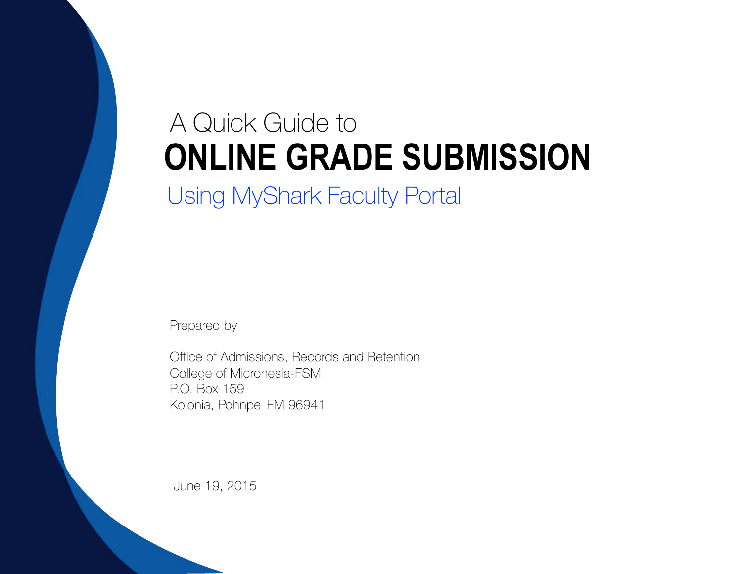## A Quick Guide to **ONLINE GRADE SUBMISSION** Using MyShark Faculty Portal

Prepared by

Office of Admissions, Records and Retention College of Micronesia-FSM P.O. Box 159 Kolonia, Pohnpei FM 96941

June 19, 2015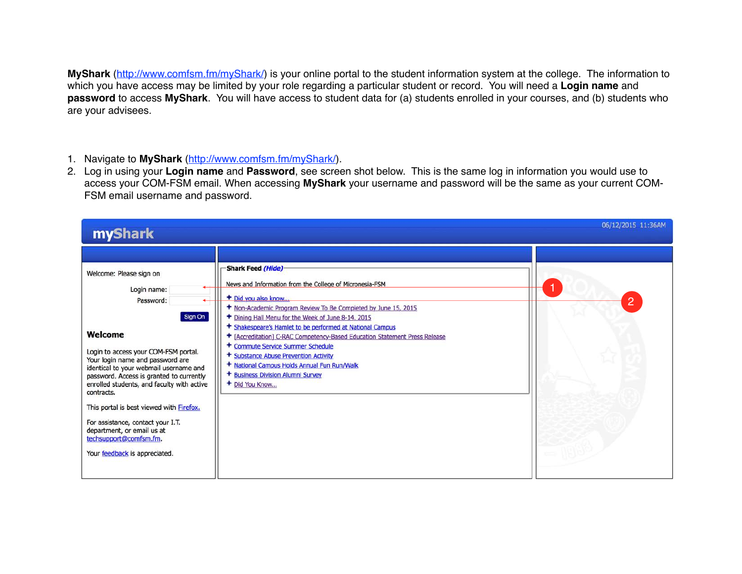**MyShark** ([http://www.comfsm.fm/myShark/\)](http://www.comfsm.fm/myShark/) is your online portal to the student information system at the college. The information to which you have access may be limited by your role regarding a particular student or record. You will need a **Login name** and **password** to access **MyShark**. You will have access to student data for (a) students enrolled in your courses, and (b) students who are your advisees.

- 1. Navigate to **MyShark** [\(http://www.comfsm.fm/myShark/](http://www.comfsm.fm/myShark/)).
- 2. Log in using your **Login name** and **Password**, see screen shot below. This is the same log in information you would use to access your COM-FSM email. When accessing **MyShark** your username and password will be the same as your current COM-FSM email username and password.

| myShark                                                                                                                                                                                                                                                                                                                                                                                                                                                                           |                                                                                                                                                                                                                                                                                                                                                                                                                                                                                                                                                             | 06/12/2015 11:36AM |
|-----------------------------------------------------------------------------------------------------------------------------------------------------------------------------------------------------------------------------------------------------------------------------------------------------------------------------------------------------------------------------------------------------------------------------------------------------------------------------------|-------------------------------------------------------------------------------------------------------------------------------------------------------------------------------------------------------------------------------------------------------------------------------------------------------------------------------------------------------------------------------------------------------------------------------------------------------------------------------------------------------------------------------------------------------------|--------------------|
| Welcome: Please sign on<br>Login name:<br>Password:<br>Sign On<br>Welcome<br>Login to access your COM-FSM portal.<br>Your login name and password are<br>identical to your webmail username and<br>password. Access is granted to currently<br>enrolled students, and faculty with active<br>contracts.<br>This portal is best viewed with Firefox.<br>For assistance, contact your I.T.<br>department, or email us at<br>techsupport@comfsm.fm.<br>Your feedback is appreciated. | Shark Feed (Hide)-<br>News and Information from the College of Micronesia-FSM<br>+ Did you also know<br>+ Non-Academic Program Review To Be Completed by June 15, 2015<br>+ Dining Hall Menu for the Week of June 8-14, 2015<br>+ Shakespeare's Hamlet to be performed at National Campus<br>+ [Accreditation] C-RAC Competency-Based Education Statement Press Release<br>+ Commute Service Summer Schedule<br>+ Substance Abuse Prevention Activity<br>+ National Campus Holds Annual Fun Run/Walk<br>+ Business Division Alumni Survey<br>+ Did You Know | $\overline{2}$     |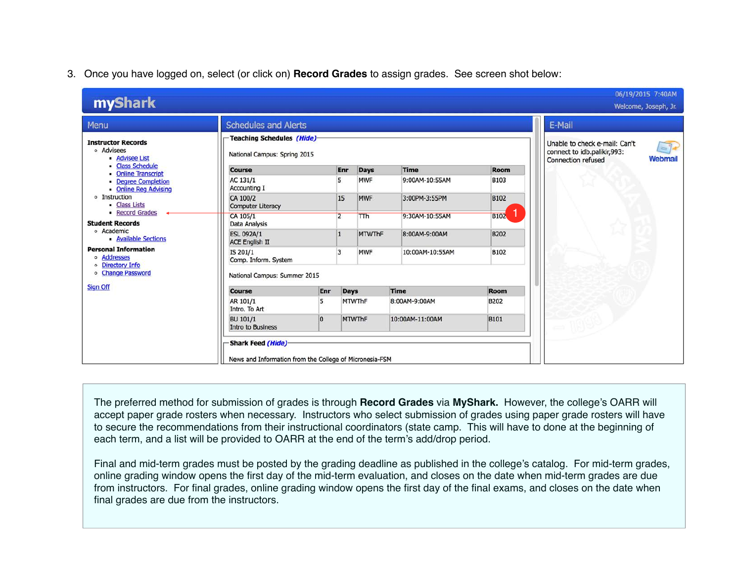## 3. Once you have logged on, select (or click on) **Record Grades** to assign grades. See screen shot below:

| myShark                                                        |                                                                                     |                |                |               |                 |             | 06/19/2015 7:40AM<br>Welcome, Joseph, Jr.                                                                                |
|----------------------------------------------------------------|-------------------------------------------------------------------------------------|----------------|----------------|---------------|-----------------|-------------|--------------------------------------------------------------------------------------------------------------------------|
| Menu                                                           | <b>Schedules and Alerts</b>                                                         |                |                |               |                 |             | E-Mail                                                                                                                   |
| <b>Instructor Records</b><br>· Advisees<br><b>Advisee List</b> | Teaching Schedules (Hide)<br>National Campus: Spring 2015                           |                |                |               |                 |             | Unable to check e-mail: Can't<br>$=$ $\mathbb{R}$<br>connect to idb.palikir,993:<br>Webmail<br><b>Connection refused</b> |
| • Class Schedule<br><b>Online Transcript</b>                   | <b>Course</b>                                                                       |                | Enr            | Days          | <b>Time</b>     | <b>Room</b> |                                                                                                                          |
| <b>• Degree Completion</b><br><b>Online Reg Advising</b>       | AC 131/1<br><b>Accounting I</b>                                                     |                | 5              | <b>MWF</b>    | 9:00AM-10:55AM  | <b>B103</b> |                                                                                                                          |
| o Instruction<br>- Class Lists                                 | CA 100/2<br><b>Computer Literacy</b>                                                |                | 15             | <b>MWF</b>    | 3:00PM-3:55PM   | <b>B102</b> |                                                                                                                          |
| • Record Grades<br><b>Student Records</b>                      | CA 105/1<br>Data Analysis                                                           |                | $\overline{2}$ | <b>TTh</b>    | 9:30AM-10:55AM  | <b>B102</b> |                                                                                                                          |
| o Academic<br>- Available Sections                             | <b>ESL 092A/1</b><br><b>ACE English II</b>                                          |                | $\overline{1}$ | <b>MTWThF</b> | 8:00AM-9:00AM   | <b>B202</b> |                                                                                                                          |
| <b>Personal Information</b><br>o Addresses<br>o Directory Info | IS 201/1<br>Comp. Inform. System                                                    |                |                | <b>MWF</b>    | 10:00AM-10:55AM | <b>B102</b> |                                                                                                                          |
| o Change Password                                              | National Campus: Summer 2015                                                        |                |                |               |                 |             |                                                                                                                          |
| <b>Sign Off</b>                                                | <b>Course</b>                                                                       | Enr            | <b>Days</b>    |               | Time            | Room        |                                                                                                                          |
|                                                                | AR 101/1<br>Intro. To Art                                                           | 5              |                | <b>MTWThF</b> | 8:00AM-9:00AM   | <b>B202</b> |                                                                                                                          |
|                                                                | <b>BU 101/1</b><br><b>Intro to Business</b>                                         | $\overline{0}$ |                | <b>MTWThF</b> | 10:00AM-11:00AM | <b>B101</b> |                                                                                                                          |
|                                                                | <b>Shark Feed (Hide)</b><br>News and Information from the College of Micronesia-FSM |                |                |               |                 |             |                                                                                                                          |

The preferred method for submission of grades is through **Record Grades** via **MyShark.** However, the college's OARR will accept paper grade rosters when necessary. Instructors who select submission of grades using paper grade rosters will have to secure the recommendations from their instructional coordinators (state camp. This will have to done at the beginning of each term, and a list will be provided to OARR at the end of the term's add/drop period.

Final and mid-term grades must be posted by the grading deadline as published in the college's catalog. For mid-term grades, online grading window opens the first day of the mid-term evaluation, and closes on the date when mid-term grades are due from instructors. For final grades, online grading window opens the first day of the final exams, and closes on the date when final grades are due from the instructors.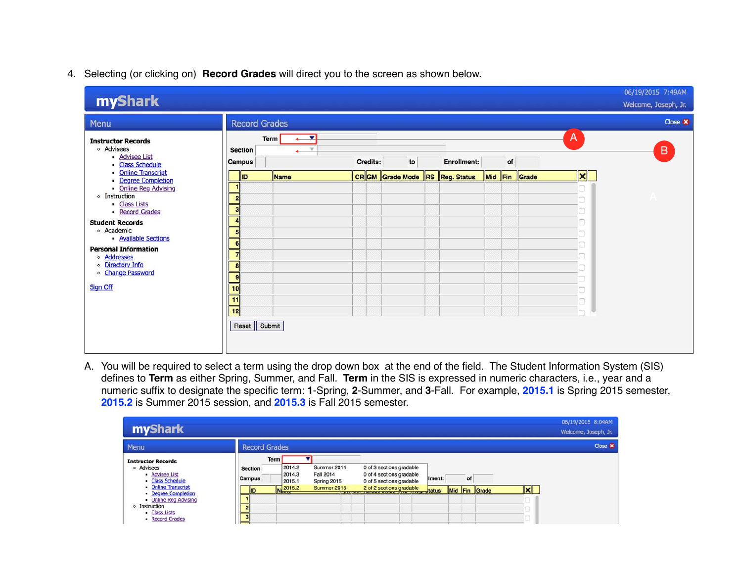## 4. Selecting (or clicking on) **Record Grades** will direct you to the screen as shown below.

| myShark                                                                                                                                                                                                                                                                                 |                                                                                                                                                       |                  |          |                                |             |    |               |                               | 06/19/2015 7:49AM<br>Welcome, Joseph, Jr. |
|-----------------------------------------------------------------------------------------------------------------------------------------------------------------------------------------------------------------------------------------------------------------------------------------|-------------------------------------------------------------------------------------------------------------------------------------------------------|------------------|----------|--------------------------------|-------------|----|---------------|-------------------------------|-------------------------------------------|
| Menu                                                                                                                                                                                                                                                                                    | <b>Record Grades</b>                                                                                                                                  |                  |          |                                |             |    |               |                               | Close <b>x</b>                            |
| <b>Instructor Records</b><br>o Advisees<br>- Advisee List<br>Class Schedule<br><b>Online Transcript</b>                                                                                                                                                                                 | <b>Section</b><br><b>Campus</b>                                                                                                                       | ▼<br><b>Term</b> | Credits: | to                             | Enrollment: | of |               | $\mathsf{A}$                  | $\overline{B}$                            |
| <b>Degree Completion</b><br>- Online Reg Advising<br><b>•</b> Instruction<br>- Class Lists<br>- Record Grades<br><b>Student Records</b><br>o Academic<br>- Available Sections<br><b>Personal Information</b><br>o Addresses<br>· Directory Info<br>o Change Password<br><b>Sign Off</b> | <b>ID</b><br>٢<br>$\overline{2}$<br>$\bf{3}$<br>Z<br>E<br>6<br>7<br>8<br>9<br>$\overline{10}$<br>$\overline{11}$<br>$\overline{12}$<br>Reset   Submit | Name             |          | CRGM Grade Mode RS Reg. Status |             |    | Mid Fin Grade | $\vert \mathbf{x} \vert$<br>□ |                                           |

A. You will be required to select a term using the drop down box at the end of the field. The Student Information System (SIS) defines to **Term** as either Spring, Summer, and Fall. **Term** in the SIS is expressed in numeric characters, i.e., year and a numeric suffix to designate the specific term: **1**-Spring, **2**-Summer, and **3**-Fall. For example, **2015.1** is Spring 2015 semester, **2015.2** is Summer 2015 session, and **2015.3** is Fall 2015 semester.

| <b>myShark</b>                                                                |                          |                                           |                                                |                                    |                                                                                  |        |    |               |     | 06/19/2015 8:04AM<br>Welcome, Joseph, Jr. |
|-------------------------------------------------------------------------------|--------------------------|-------------------------------------------|------------------------------------------------|------------------------------------|----------------------------------------------------------------------------------|--------|----|---------------|-----|-------------------------------------------|
| Menu                                                                          | <b>Record Grades</b>     |                                           |                                                |                                    |                                                                                  |        |    |               |     | Close X                                   |
| <b>Instructor Records</b><br>o Advisees<br>• Advisee List<br>- Class Schedule | <b>Section</b><br>Campus | <b>Term</b><br>2014.2<br>2014.3<br>2015.1 | Summer 2014<br><b>Fall 2014</b><br>Spring 2015 |                                    | 0 of 3 sections gradable<br>0 of 4 sections gradable<br>0 of 5 sections gradable | Iment: | of |               |     |                                           |
| • Online Transcript<br>• Degree Completion                                    | <b>ID</b>                | Na 2015.2                                 | Summer 2015                                    | <b>The Station of the Stations</b> | 2 of 2 sections gradable<br>transport of the status                              |        |    | Mid Fin Grade | lxl |                                           |
| - Online Reg Advising                                                         |                          |                                           |                                                |                                    |                                                                                  |        |    |               |     |                                           |
| o Instruction                                                                 |                          |                                           |                                                |                                    |                                                                                  |        |    |               |     |                                           |
| • Class Lists<br>• Record Grades                                              |                          |                                           |                                                |                                    |                                                                                  |        |    |               |     |                                           |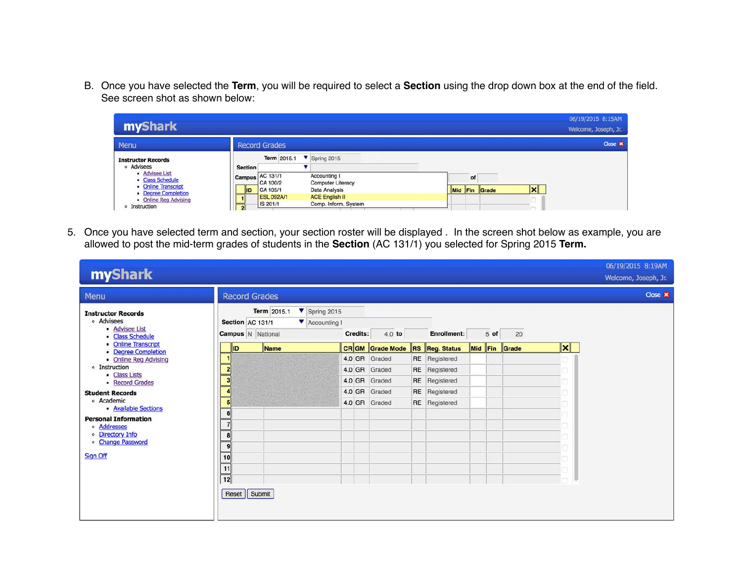B. Once you have selected the **Term**, you will be required to select a **Section** using the drop down box at the end of the field. See screen shot as shown below:

| <b>myShark</b>                                                |                                                                                                                   | 06/19/2015 8:15AM<br>Welcome, Joseph, Jr. |
|---------------------------------------------------------------|-------------------------------------------------------------------------------------------------------------------|-------------------------------------------|
| Menu                                                          | <b>Record Grades</b>                                                                                              | Close <b>x</b>                            |
| <b>Instructor Records</b><br>o Advisees                       | Term 2015.1<br>$\triangledown$ Spring 2015<br><b>Section</b>                                                      |                                           |
| • Advisee List<br>- Class Schedule<br>• Online Transcript     | Campus AC 131/1<br>Accounting I<br>CA 100/2<br><b>Computer Literacy</b><br>CA 105/1<br>Data Analysis<br><b>ID</b> | of<br>Ι×Ι<br>Mid Fin Grade                |
| • Degree Completion<br>• Online Reg Advising<br>o Instruction | <b>ESL 092A/1</b><br><b>ACE English II</b><br>Comp. Inform. System<br>IS 201/1<br>$\mathbf{2}$                    |                                           |

5. Once you have selected term and section, your section roster will be displayed . In the screen shot below as example, you are allowed to post the mid-term grades of students in the **Section** (AC 131/1) you selected for Spring 2015 **Term.**

| myShark                                                                       |                                              |                                                                          |          |                        |                       |      |               |                 | 06/19/2015 8:19AM<br>Welcome, Joseph, Jr. |
|-------------------------------------------------------------------------------|----------------------------------------------|--------------------------------------------------------------------------|----------|------------------------|-----------------------|------|---------------|-----------------|-------------------------------------------|
| Menu                                                                          | <b>Record Grades</b>                         |                                                                          |          |                        |                       |      |               |                 | Close <b>x</b>                            |
| <b>Instructor Records</b><br>o Advisees<br>- Advisee List<br>• Class Schedule | Section AC 131/1<br><b>Campus</b> N National | Term 2015.1<br>$\blacktriangledown$ Spring 2015<br><b>Y</b> Accounting I | Credits: | 4.0 to                 | Enrollment:           | 5 of | 20            |                 |                                           |
| • Online Transcript<br>Degree Completion                                      | <b>ID</b>                                    | Name                                                                     |          | <b>CRGM</b> Grade Mode | <b>RS Reg. Status</b> |      | Mid Fin Grade | $\vert x \vert$ |                                           |
| • Online Reg Advising                                                         |                                              |                                                                          |          | 4.0 GR Graded          | <b>RE</b> Registered  |      |               |                 |                                           |
| o Instruction<br>• Class Lists                                                | $\mathbf{2}$                                 |                                                                          |          | 4.0 GR Graded          | RE Registered         |      |               |                 |                                           |
| - Record Grades                                                               | 3                                            |                                                                          |          | 4.0 GR Graded          | RE Registered         |      |               |                 |                                           |
| <b>Student Records</b>                                                        | Δ                                            |                                                                          |          | 4.0 GR Graded          | <b>RE</b> Registered  |      |               |                 |                                           |
| o Academic<br>- Available Sections                                            | 5                                            |                                                                          |          | 4.0 GR Graded          | RE Registered         |      |               |                 |                                           |
| <b>Personal Information</b>                                                   | 6                                            |                                                                          |          |                        |                       |      |               |                 |                                           |
| · Addresses                                                                   |                                              |                                                                          |          |                        |                       |      |               |                 |                                           |
| · Directory Info                                                              | 8                                            |                                                                          |          |                        |                       |      |               |                 |                                           |
| o Change Password                                                             | 9                                            |                                                                          |          |                        |                       |      |               |                 |                                           |
| Sign Off                                                                      | 10                                           |                                                                          |          |                        |                       |      |               |                 |                                           |
|                                                                               | 11                                           |                                                                          |          |                        |                       |      |               |                 |                                           |
|                                                                               | $\overline{12}$                              |                                                                          |          |                        |                       |      |               |                 |                                           |
|                                                                               | Reset   Submit                               |                                                                          |          |                        |                       |      |               |                 |                                           |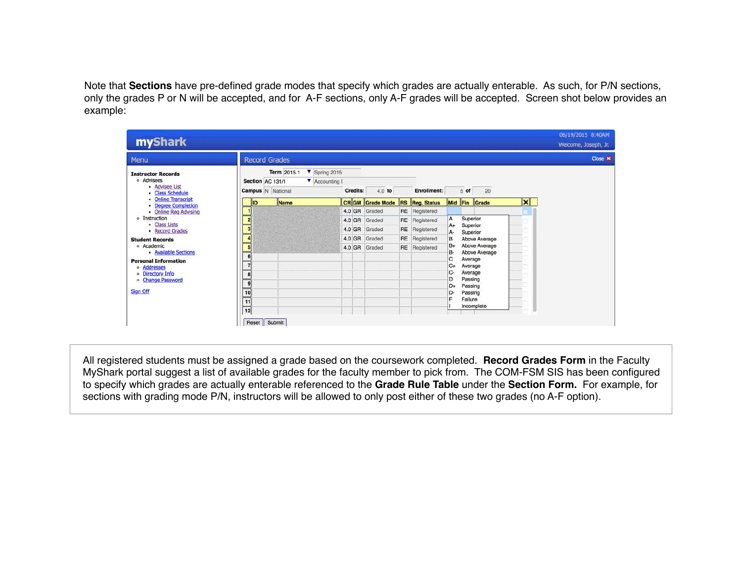Note that **Sections** have pre-defined grade modes that specify which grades are actually enterable. As such, for P/N sections, only the grades P or N will be accepted, and for A-F sections, only A-F grades will be accepted. Screen shot below provides an example:

| myShark                                                                       |                 |                      |                                         |                                                  |          |                        |                       |            |                      |               |  |                 | 06/19/2015 8:40AM<br>Welcome, Joseph, Jr. |
|-------------------------------------------------------------------------------|-----------------|----------------------|-----------------------------------------|--------------------------------------------------|----------|------------------------|-----------------------|------------|----------------------|---------------|--|-----------------|-------------------------------------------|
| Menu                                                                          |                 | <b>Record Grades</b> |                                         |                                                  |          |                        |                       |            |                      |               |  |                 | Close X                                   |
| <b>Instructor Records</b><br>o Advisees<br>- Advisee List<br>· Class Schedule |                 | Section AC 131/1     | Term 2015.1<br><b>Campus</b> N National | $\blacktriangledown$ Spring 2015<br>Accounting I | Credits: | $4.0$ to               | <b>Enrollment:</b>    |            | 5 of                 | 20            |  |                 |                                           |
| <b>Online Transcript</b><br>- Degree Completion                               |                 | lliD                 | Name                                    |                                                  |          | <b>CRGM</b> Grade Mode | <b>RS Reg. Status</b> |            |                      | Mid Fin Grade |  | $\vert x \vert$ |                                           |
| • Online Reg Advising                                                         |                 |                      |                                         |                                                  |          | 4.0 GR Graded          | RE Registered         |            |                      |               |  |                 |                                           |
| o Instruction<br>- Class Lists                                                |                 | $\overline{2}$       |                                         |                                                  |          | 4.0 GR Graded          | RE Registered         | A          |                      | Superior      |  |                 |                                           |
| Record Grades                                                                 | 3               |                      |                                         |                                                  |          | 4.0 GR Graded          | RE Registered         | $A+$<br>A- | Superior<br>Superior |               |  |                 |                                           |
| <b>Student Records</b>                                                        |                 |                      |                                         |                                                  | 4.0 GR   | Graded                 | RE Registered         | B          |                      | Above Average |  |                 |                                           |
| o Academic                                                                    | 5               |                      |                                         |                                                  |          | 4.0 GR Graded          | <b>RE</b> Registered  | B+         |                      | Above Average |  |                 |                                           |
| - Available Sections<br><b>Personal Information</b>                           | 6               |                      |                                         |                                                  |          |                        |                       | в-<br>C    | Average              | Above Average |  |                 |                                           |
| · Addresses                                                                   |                 |                      |                                         |                                                  |          |                        |                       | C+         | Average              |               |  |                 |                                           |
| · Directory Info                                                              |                 |                      |                                         |                                                  |          |                        |                       | C-         | Average              |               |  |                 |                                           |
| o Change Password                                                             | 9               |                      |                                         |                                                  |          |                        |                       | D<br>D+    | Passing<br>Passing   |               |  |                 |                                           |
| Sign Off                                                                      | 10              |                      |                                         |                                                  |          |                        |                       | D-         | Passing              |               |  |                 |                                           |
|                                                                               | $\overline{11}$ |                      |                                         |                                                  |          |                        |                       | F          | Failure              |               |  |                 |                                           |
|                                                                               | 12              |                      |                                         |                                                  |          |                        |                       |            |                      | Incomplete    |  |                 |                                           |
|                                                                               |                 | Reset                | Submit                                  |                                                  |          |                        |                       |            |                      |               |  |                 |                                           |

All registered students must be assigned a grade based on the coursework completed. **Record Grades Form** in the Faculty MyShark portal suggest a list of available grades for the faculty member to pick from. The COM-FSM SIS has been configured to specify which grades are actually enterable referenced to the **Grade Rule Table** under the **Section Form.** For example, for sections with grading mode P/N, instructors will be allowed to only post either of these two grades (no A-F option).